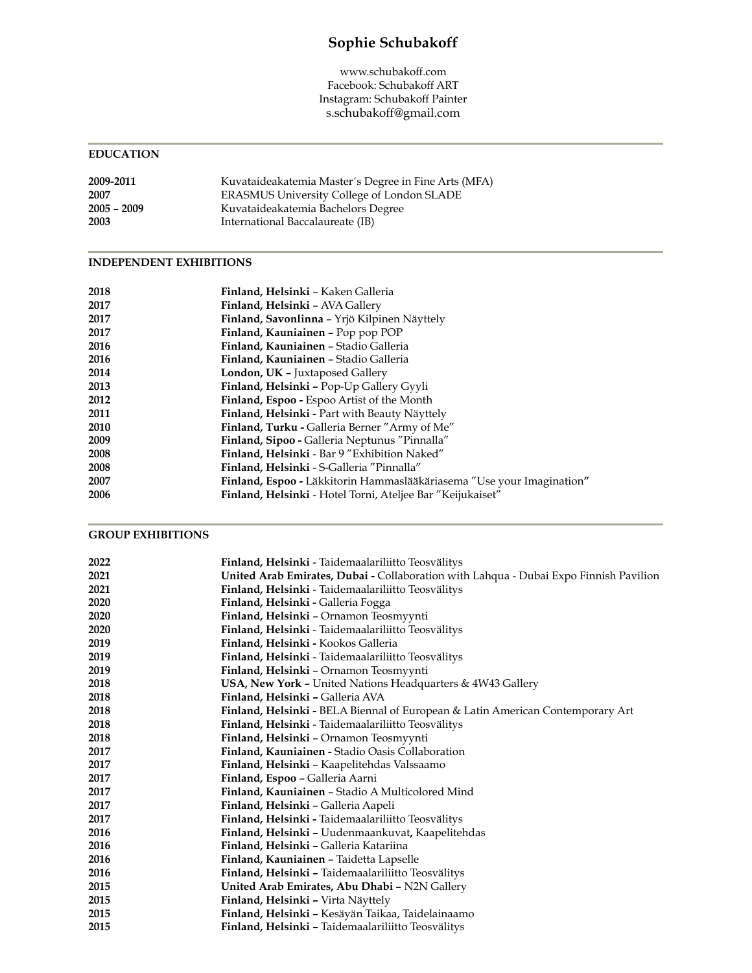# **Sophie Schubakoff**

www.schubakoff.com Facebook: Schubakoff ART Instagram: Schubakoff Painter s.schubakoff@gmail.com

#### **EDUCATION**

| 2009-2011     | Kuvataideakatemia Master's Degree in Fine Arts (MFA) |
|---------------|------------------------------------------------------|
| 2007          | ERASMUS University College of London SLADE           |
| $2005 - 2009$ | Kuvataideakatemia Bachelors Degree                   |
| 2003          | International Baccalaureate (IB)                     |

#### **INDEPENDENT EXHIBITIONS**

| 2018 | Finland, Helsinki - Kaken Galleria                                    |
|------|-----------------------------------------------------------------------|
| 2017 | Finland, Helsinki - AVA Gallery                                       |
| 2017 | Finland, Savonlinna - Yrjö Kilpinen Näyttely                          |
| 2017 | Finland, Kauniainen - Pop pop POP                                     |
| 2016 | Finland, Kauniainen - Stadio Galleria                                 |
| 2016 | Finland, Kauniainen - Stadio Galleria                                 |
| 2014 | London, UK - Juxtaposed Gallery                                       |
| 2013 | Finland, Helsinki - Pop-Up Gallery Gyyli                              |
| 2012 | Finland, Espoo - Espoo Artist of the Month                            |
| 2011 | <b>Finland, Helsinki - Part with Beauty Näyttely</b>                  |
| 2010 | <b>Finland, Turku - Galleria Berner "Army of Me"</b>                  |
| 2009 | Finland, Sipoo - Galleria Neptunus "Pinnalla"                         |
| 2008 | Finland, Helsinki - Bar 9 "Exhibition Naked"                          |
| 2008 | Finland, Helsinki - S-Galleria "Pinnalla"                             |
| 2007 | Finland, Espoo - Läkkitorin Hammaslääkäriasema "Use your Imagination" |
| 2006 | Finland, Helsinki - Hotel Torni, Ateljee Bar "Keijukaiset"            |

### **GROUP EXHIBITIONS**

| 2022 | Finland, Helsinki - Taidemaalariliitto Teosvälitys                                    |
|------|---------------------------------------------------------------------------------------|
| 2021 | United Arab Emirates, Dubai - Collaboration with Lahqua - Dubai Expo Finnish Pavilion |
| 2021 | Finland, Helsinki - Taidemaalariliitto Teosvälitys                                    |
| 2020 | Finland, Helsinki - Galleria Fogga                                                    |
| 2020 | Finland, Helsinki - Ornamon Teosmyynti                                                |
| 2020 | Finland, Helsinki - Taidemaalariliitto Teosvälitys                                    |
| 2019 | Finland, Helsinki - Kookos Galleria                                                   |
| 2019 | Finland, Helsinki - Taidemaalariliitto Teosvälitys                                    |
| 2019 | Finland, Helsinki - Ornamon Teosmyynti                                                |
| 2018 | USA, New York - United Nations Headquarters & 4W43 Gallery                            |
| 2018 | Finland, Helsinki - Galleria AVA                                                      |
| 2018 | Finland, Helsinki - BELA Biennal of European & Latin American Contemporary Art        |
| 2018 | Finland, Helsinki - Taidemaalariliitto Teosvälitys                                    |
| 2018 | Finland, Helsinki - Ornamon Teosmyynti                                                |
| 2017 | Finland, Kauniainen - Stadio Oasis Collaboration                                      |
| 2017 | Finland, Helsinki - Kaapelitehdas Valssaamo                                           |
| 2017 | Finland, Espoo - Galleria Aarni                                                       |
| 2017 | Finland, Kauniainen - Stadio A Multicolored Mind                                      |
| 2017 | Finland, Helsinki - Galleria Aapeli                                                   |
| 2017 | Finland, Helsinki - Taidemaalariliitto Teosvälitys                                    |
| 2016 | Finland, Helsinki - Uudenmaankuvat, Kaapelitehdas                                     |
| 2016 | Finland, Helsinki - Galleria Katariina                                                |
| 2016 | Finland, Kauniainen - Taidetta Lapselle                                               |
| 2016 | Finland, Helsinki - Taidemaalariliitto Teosvälitys                                    |
| 2015 | United Arab Emirates, Abu Dhabi - N2N Gallery                                         |
| 2015 | Finland, Helsinki - Virta Näyttely                                                    |
| 2015 | Finland, Helsinki - Kesäyän Taikaa, Taidelainaamo                                     |
| 2015 | Finland, Helsinki - Taidemaalariliitto Teosvälitys                                    |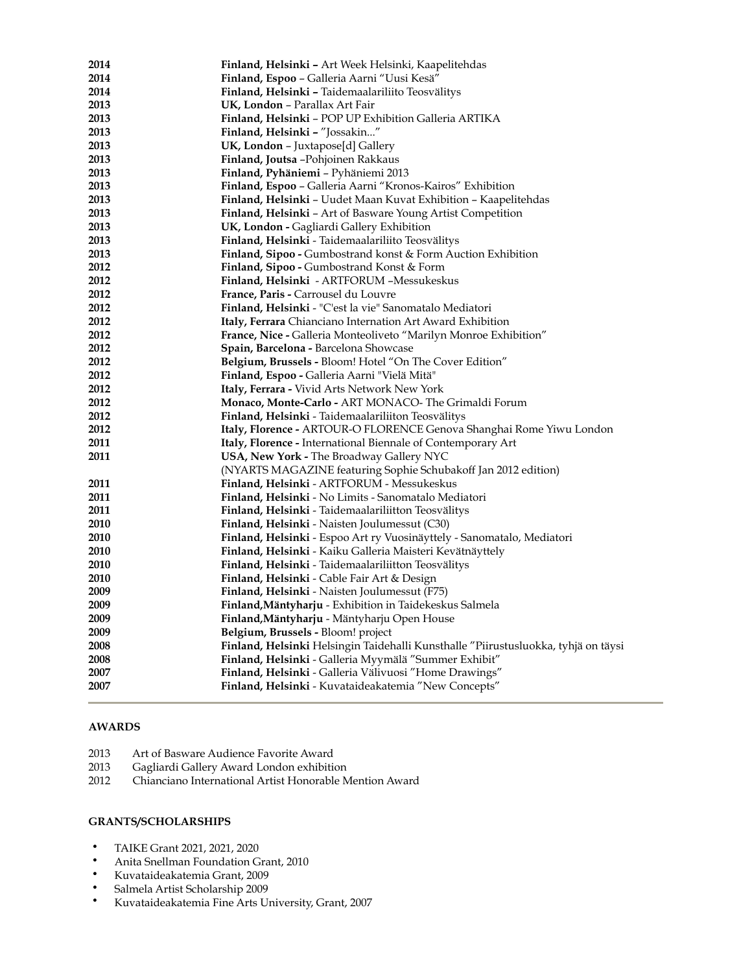| 2014        | Finland, Helsinki - Art Week Helsinki, Kaapelitehdas                               |
|-------------|------------------------------------------------------------------------------------|
| 2014        | Finland, Espoo - Galleria Aarni "Uusi Kesä"                                        |
| 2014        | Finland, Helsinki - Taidemaalariliito Teosvälitys                                  |
| 2013        | UK, London - Parallax Art Fair                                                     |
| 2013        | Finland, Helsinki - POP UP Exhibition Galleria ARTIKA                              |
| 2013        | Finland, Helsinki - "Jossakin"                                                     |
| 2013        | <b>UK, London – Juxtapose[d] Gallery</b>                                           |
| 2013        | <b>Finland, Joutsa -</b> Pohjoinen Rakkaus                                         |
| 2013        | <b>Finland, Pyhäniemi - Pyhäniemi 2013</b>                                         |
| 2013        | Finland, Espoo - Galleria Aarni "Kronos-Kairos" Exhibition                         |
| 2013        | <b>Finland, Helsinki - Uudet Maan Kuvat Exhibition - Kaapelitehdas</b>             |
| 2013        | <b>Finland, Helsinki - Art of Basware Young Artist Competition</b>                 |
| 2013        | UK, London - Gagliardi Gallery Exhibition                                          |
| 2013        | <b>Finland, Helsinki -</b> Taidemaalariliito Teosvälitys                           |
| 2013        | Finland, Sipoo - Gumbostrand konst & Form Auction Exhibition                       |
| 2012        | <b>Finland, Sipoo - Gumbostrand Konst &amp; Form</b>                               |
| 2012        | Finland, Helsinki - ARTFORUM -Messukeskus                                          |
| 2012        | <b>France, Paris - Carrousel du Louvre</b>                                         |
| 2012        | <b>Finland, Helsinki - "C'est la vie" Sanomatalo Mediatori</b>                     |
| 2012        | Italy, Ferrara Chianciano Internation Art Award Exhibition                         |
| 2012        | France, Nice - Galleria Monteoliveto "Marilyn Monroe Exhibition"                   |
| 2012        | Spain, Barcelona - Barcelona Showcase                                              |
| 2012        | <b>Belgium, Brussels - Bloom! Hotel "On The Cover Edition"</b>                     |
| 2012        | <b>Finland, Espoo - Galleria Aarni "Vielä Mitä"</b>                                |
| 2012        | <b>Italy, Ferrara - Vivid Arts Network New York</b>                                |
| 2012        | Monaco, Monte-Carlo - ART MONACO- The Grimaldi Forum                               |
| 2012        | Finland, Helsinki - Taidemaalariliiton Teosvälitys                                 |
| 2012        | Italy, Florence - ARTOUR-O FLORENCE Genova Shanghai Rome Yiwu London               |
| 2011        | <b>Italy, Florence - International Biennale of Contemporary Art</b>                |
| 2011        | <b>USA, New York - The Broadway Gallery NYC</b>                                    |
|             | (NYARTS MAGAZINE featuring Sophie Schubakoff Jan 2012 edition)                     |
| 2011        | Finland, Helsinki - ARTFORUM - Messukeskus                                         |
| 2011        | <b>Finland, Helsinki -</b> No Limits - Sanomatalo Mediatori                        |
| 2011        | <b>Finland, Helsinki -</b> Taidemaalariliitton Teosvälitys                         |
| 2010        | Finland, Helsinki - Naisten Joulumessut (C30)                                      |
| 2010        | Finland, Helsinki - Espoo Art ry Vuosinäyttely - Sanomatalo, Mediatori             |
| 2010        | Finland, Helsinki - Kaiku Galleria Maisteri Kevätnäyttely                          |
| <b>2010</b> | Finland, Helsinki - Taidemaalariliitton Teosvälitys                                |
| <b>2010</b> | Finland, Helsinki - Cable Fair Art & Design                                        |
| 2009        | <b>Finland, Helsinki -</b> Naisten Joulumessut (F75)                               |
| 2009        | <b>Finland,Mäntyharju -</b> Exhibition in Taidekeskus Salmela                      |
| 2009        | <b>Finland, Mäntyharju - Mäntyharju Open House</b>                                 |
| 2009        | <b>Belgium, Brussels - Bloom! project</b>                                          |
| 2008        | Finland, Helsinki Helsingin Taidehalli Kunsthalle "Piirustusluokka, tyhjä on täysi |
| 2008        | Finland, Helsinki - Galleria Myymälä "Summer Exhibit"                              |
| 2007        | Finland, Helsinki - Galleria Välivuosi "Home Drawings"                             |
| 2007        | Finland, Helsinki - Kuvataideakatemia "New Concepts"                               |

#### **AWARDS**

- 2013 Art of Basware Audience Favorite Award<br>2013 Gagliardi Gallery Award London exhibition
- Gagliardi Gallery Award London exhibition
- 2012 Chianciano International Artist Honorable Mention Award

#### **GRANTS/SCHOLARSHIPS**

- TAIKE Grant 2021, 2021, 2020<br>• Anita Spellman Foundation G
- Anita Snellman Foundation Grant, 2010<br>• Kuvataideakatemia Grant, 2009
- Kuvataideakatemia Grant, 2009
- Salmela Artist Scholarship 2009<br>• Kuvataideakatemia Fine Arts Un
- Kuvataideakatemia Fine Arts University, Grant, 2007